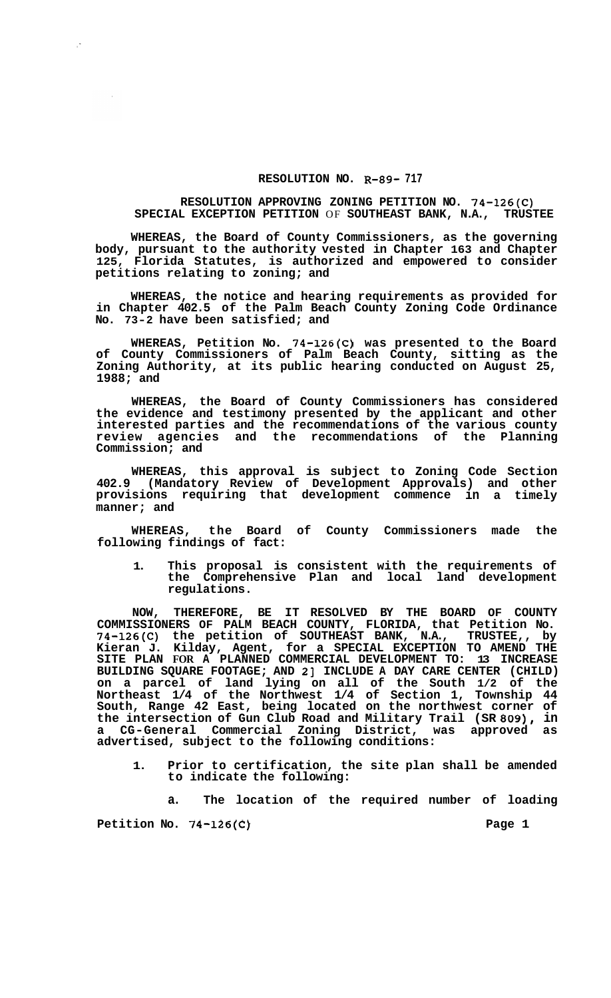## **RESOLUTION NO. R-89- 717**

## **RESOLUTION APPROVING ZONING PETITION NO. 74-126(C) SPECIAL EXCEPTION PETITION OF SOUTHEAST BANK, N.A.,**

**WHEREAS, the Board of County Commissioners, as the governing body, pursuant to the authority vested in Chapter 163 and Chapter 125, Florida Statutes, is authorized and empowered to consider petitions relating to zoning; and** 

**WHEREAS, the notice and hearing requirements as provided for in Chapter 402.5 of the Palm Beach County Zoning Code Ordinance No. 73-2 have been satisfied; and** 

**WHEREAS, Petition No. 74-126(C) was presented to the Board of County Commissioners of Palm Beach County, sitting as the Zoning Authority, at its public hearing conducted on August 25, 1988; and** 

**WHEREAS, the Board of County Commissioners has considered the evidence and testimony presented by the applicant and other interested parties and the recommendations of the various county review agencies and the recommendations of the Planning Commission; and** 

**WHEREAS, this approval is subject to Zoning Code Section 402.9 (Mandatory Review of Development Approvals) and other provisions requiring that development commence in a timely manner; and** 

**WHEREAS, the Board of County Commissioners made the following findings of fact:** 

**1. This proposal is consistent with the requirements of the Comprehensive Plan and local land development regulations.** 

**NOW, THEREFORE, BE IT RESOLVED BY THE BOARD OF COUNTY COMMISSIONERS OF PALM BEACH COUNTY, FLORIDA, that Petition No. 74-126(C) the petition of SOUTHEAST BANK, N.A., TRUSTEE,, by Kieran J. Kilday, Agent, for a SPECIAL EXCEPTION TO AMEND THE SITE PLAN FOR A PLANNED COMMERCIAL DEVELOPMENT TO: 13 INCREASE BUILDING SQUARE FOOTAGE; AND 21 INCLUDE A DAY CARE CENTER (CHILD) on a parcel of land lying on all of the South 1/2 of the Northeast 1/4 of the Northwest 1/4 of Section 1, Township 44 South, Range 42 East, being located on the northwest corner of the intersection of Gun Club Road and Military Trail (SR 809), in a CG-General Commercial Zoning District, was approved as advertised, subject to the following conditions:** 

**1. Prior to certification, the site plan shall be amended to indicate the following:** 

**a. The location of the required number of loading** 

Petition No. 74-126(C) Petition No. 74-126(C)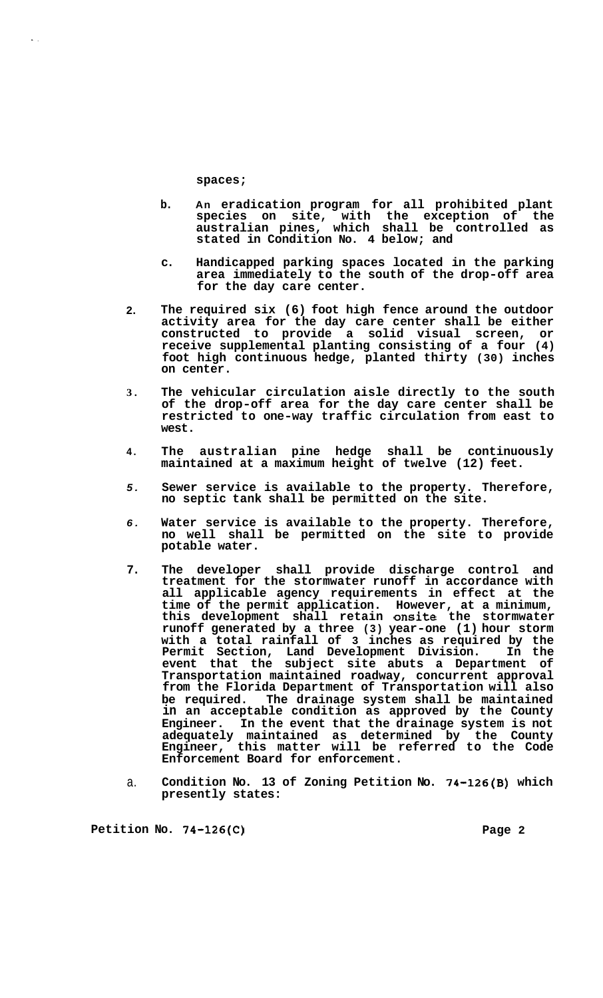**spaces;** 

..

- **b. An eradication program for all prohibited plant species on site, with the exception of the australian pines, which shall be controlled as stated in Condition No. 4 below; and**
- **c. Handicapped parking spaces located in the parking area immediately to the south of the drop-off area for the day care center.**
- **2. The required six (6) foot high fence around the outdoor activity area for the day care center shall be either constructed to provide a solid visual screen, or receive supplemental planting consisting of a four (4) foot high continuous hedge, planted thirty (30) inches on center.**
- **3. The vehicular circulation aisle directly to the south of the drop-off area for the day care center shall be restricted to one-way traffic circulation from east to west.**
- **4. The australian pine hedge shall be continuously maintained at a maximum height of twelve (12) feet.**
- *5.*  **Sewer service is available to the property. Therefore, no septic tank shall be permitted on the site.**
- *6.*  **Water service is available to the property. Therefore, no well shall be permitted on the site to provide potable water.**
- **7. The developer shall provide discharge control and treatment for the stormwater runoff in accordance with all applicable agency requirements in effect at the time of the permit application. However, at a minimum, this development shall retain onsite the stormwater runoff generated by a three (3) year-one (1) hour storm with a total rainfall of 3 inches as required by the Permit Section, Land Development Division. In the event that the subject site abuts a Department of Transportation maintained roadway, concurrent approval from the Florida Department of Transportation will also be required. The drainage system shall be maintained in an acceptable condition as approved by the County Engineer. In the event that the drainage system is not adequately maintained as determined by the County Engineer, this matter will be referred to the Code Enforcement Board for enforcement.**
- a. **Condition No. 13 of Zoning Petition No. 74-126(B) which presently states:**

Petition No. 74-126(C) Petition No. 74-126(C)